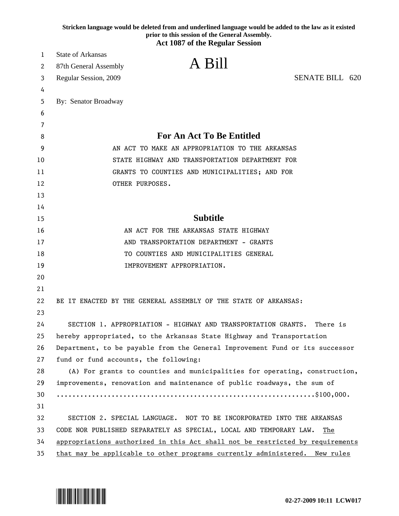|    | Stricken language would be deleted from and underlined language would be added to the law as it existed<br>prior to this session of the General Assembly.<br><b>Act 1087 of the Regular Session</b> |
|----|-----------------------------------------------------------------------------------------------------------------------------------------------------------------------------------------------------|
| 1  | <b>State of Arkansas</b>                                                                                                                                                                            |
| 2  | A Bill<br>87th General Assembly                                                                                                                                                                     |
| 3  | <b>SENATE BILL 620</b><br>Regular Session, 2009                                                                                                                                                     |
| 4  |                                                                                                                                                                                                     |
| 5  | By: Senator Broadway                                                                                                                                                                                |
| 6  |                                                                                                                                                                                                     |
| 7  |                                                                                                                                                                                                     |
| 8  | <b>For An Act To Be Entitled</b>                                                                                                                                                                    |
| 9  | AN ACT TO MAKE AN APPROPRIATION TO THE ARKANSAS                                                                                                                                                     |
| 10 | STATE HIGHWAY AND TRANSPORTATION DEPARTMENT FOR                                                                                                                                                     |
| 11 | GRANTS TO COUNTIES AND MUNICIPALITIES; AND FOR                                                                                                                                                      |
| 12 | OTHER PURPOSES.                                                                                                                                                                                     |
| 13 |                                                                                                                                                                                                     |
| 14 |                                                                                                                                                                                                     |
| 15 | <b>Subtitle</b>                                                                                                                                                                                     |
| 16 | AN ACT FOR THE ARKANSAS STATE HIGHWAY                                                                                                                                                               |
| 17 | AND TRANSPORTATION DEPARTMENT - GRANTS                                                                                                                                                              |
| 18 | TO COUNTIES AND MUNICIPALITIES GENERAL                                                                                                                                                              |
| 19 | IMPROVEMENT APPROPRIATION.                                                                                                                                                                          |
| 20 |                                                                                                                                                                                                     |
| 21 |                                                                                                                                                                                                     |
| 22 | BE IT ENACTED BY THE GENERAL ASSEMBLY OF THE STATE OF ARKANSAS:                                                                                                                                     |
| 23 |                                                                                                                                                                                                     |
| 24 | SECTION 1. APPROPRIATION - HIGHWAY AND TRANSPORTATION GRANTS.<br>There is                                                                                                                           |
| 25 | hereby appropriated, to the Arkansas State Highway and Transportation                                                                                                                               |
| 26 | Department, to be payable from the General Improvement Fund or its successor                                                                                                                        |
| 27 | fund or fund accounts, the following:                                                                                                                                                               |
| 28 | (A) For grants to counties and municipalities for operating, construction,                                                                                                                          |
| 29 | improvements, renovation and maintenance of public roadways, the sum of                                                                                                                             |
| 30 |                                                                                                                                                                                                     |
| 31 |                                                                                                                                                                                                     |
| 32 | SECTION 2. SPECIAL LANGUAGE. NOT TO BE INCORPORATED INTO THE ARKANSAS                                                                                                                               |
| 33 | CODE NOR PUBLISHED SEPARATELY AS SPECIAL, LOCAL AND TEMPORARY LAW.<br>The                                                                                                                           |
| 34 | appropriations authorized in this Act shall not be restricted by requirements                                                                                                                       |
| 35 | that may be applicable to other programs currently administered. New rules                                                                                                                          |

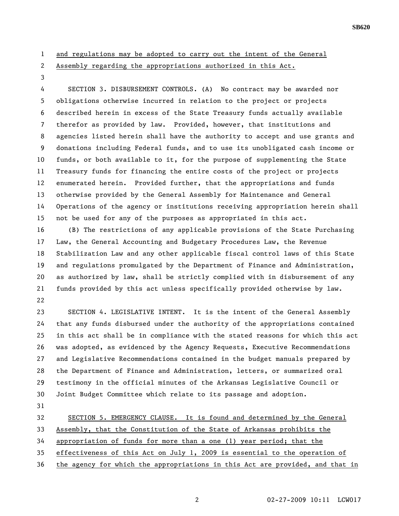- 1 and regulations may be adopted to carry out the intent of the General
- 

## 2 Assembly regarding the appropriations authorized in this Act.

3

4 SECTION 3. DISBURSEMENT CONTROLS. (A) No contract may be awarded nor 5 obligations otherwise incurred in relation to the project or projects 6 described herein in excess of the State Treasury funds actually available 7 therefor as provided by law. Provided, however, that institutions and 8 agencies listed herein shall have the authority to accept and use grants and 9 donations including Federal funds, and to use its unobligated cash income or 10 funds, or both available to it, for the purpose of supplementing the State 11 Treasury funds for financing the entire costs of the project or projects 12 enumerated herein. Provided further, that the appropriations and funds 13 otherwise provided by the General Assembly for Maintenance and General 14 Operations of the agency or institutions receiving appropriation herein shall 15 not be used for any of the purposes as appropriated in this act.

16 (B) The restrictions of any applicable provisions of the State Purchasing 17 Law, the General Accounting and Budgetary Procedures Law, the Revenue 18 Stabilization Law and any other applicable fiscal control laws of this State 19 and regulations promulgated by the Department of Finance and Administration, 20 as authorized by law, shall be strictly complied with in disbursement of any 21 funds provided by this act unless specifically provided otherwise by law. 22

23 SECTION 4. LEGISLATIVE INTENT. It is the intent of the General Assembly 24 that any funds disbursed under the authority of the appropriations contained 25 in this act shall be in compliance with the stated reasons for which this act 26 was adopted, as evidenced by the Agency Requests, Executive Recommendations 27 and Legislative Recommendations contained in the budget manuals prepared by 28 the Department of Finance and Administration, letters, or summarized oral 29 testimony in the official minutes of the Arkansas Legislative Council or 30 Joint Budget Committee which relate to its passage and adoption.

31

32 SECTION 5. EMERGENCY CLAUSE. It is found and determined by the General

33 Assembly, that the Constitution of the State of Arkansas prohibits the

34 appropriation of funds for more than a one (1) year period; that the

35 effectiveness of this Act on July 1, 2009 is essential to the operation of

36 the agency for which the appropriations in this Act are provided, and that in